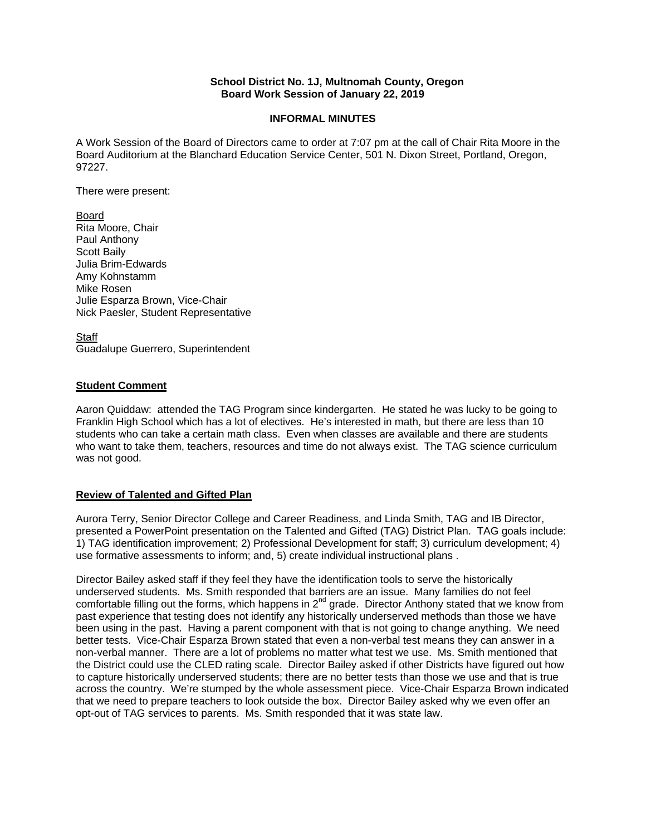## **School District No. 1J, Multnomah County, Oregon Board Work Session of January 22, 2019**

## **INFORMAL MINUTES**

A Work Session of the Board of Directors came to order at 7:07 pm at the call of Chair Rita Moore in the Board Auditorium at the Blanchard Education Service Center, 501 N. Dixon Street, Portland, Oregon, 97227.

There were present:

Board Rita Moore, Chair Paul Anthony Scott Baily Julia Brim-Edwards Amy Kohnstamm Mike Rosen Julie Esparza Brown, Vice-Chair Nick Paesler, Student Representative

**Staff** Guadalupe Guerrero, Superintendent

# **Student Comment**

Aaron Quiddaw: attended the TAG Program since kindergarten. He stated he was lucky to be going to Franklin High School which has a lot of electives. He's interested in math, but there are less than 10 students who can take a certain math class. Even when classes are available and there are students who want to take them, teachers, resources and time do not always exist. The TAG science curriculum was not good.

### **Review of Talented and Gifted Plan**

Aurora Terry, Senior Director College and Career Readiness, and Linda Smith, TAG and IB Director, presented a PowerPoint presentation on the Talented and Gifted (TAG) District Plan. TAG goals include: 1) TAG identification improvement; 2) Professional Development for staff; 3) curriculum development; 4) use formative assessments to inform; and, 5) create individual instructional plans .

Director Bailey asked staff if they feel they have the identification tools to serve the historically underserved students. Ms. Smith responded that barriers are an issue. Many families do not feel comfortable filling out the forms, which happens in  $2^{nd}$  grade. Director Anthony stated that we know from past experience that testing does not identify any historically underserved methods than those we have been using in the past. Having a parent component with that is not going to change anything. We need better tests. Vice-Chair Esparza Brown stated that even a non-verbal test means they can answer in a non-verbal manner. There are a lot of problems no matter what test we use. Ms. Smith mentioned that the District could use the CLED rating scale. Director Bailey asked if other Districts have figured out how to capture historically underserved students; there are no better tests than those we use and that is true across the country. We're stumped by the whole assessment piece. Vice-Chair Esparza Brown indicated that we need to prepare teachers to look outside the box. Director Bailey asked why we even offer an opt-out of TAG services to parents. Ms. Smith responded that it was state law.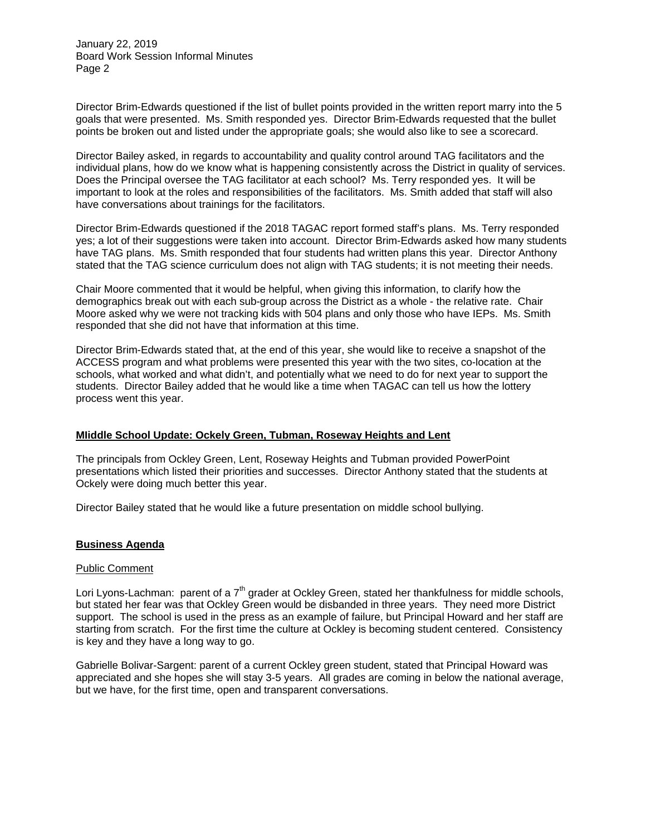January 22, 2019 Board Work Session Informal Minutes Page 2

Director Brim-Edwards questioned if the list of bullet points provided in the written report marry into the 5 goals that were presented. Ms. Smith responded yes. Director Brim-Edwards requested that the bullet points be broken out and listed under the appropriate goals; she would also like to see a scorecard.

Director Bailey asked, in regards to accountability and quality control around TAG facilitators and the individual plans, how do we know what is happening consistently across the District in quality of services. Does the Principal oversee the TAG facilitator at each school? Ms. Terry responded yes. It will be important to look at the roles and responsibilities of the facilitators. Ms. Smith added that staff will also have conversations about trainings for the facilitators.

Director Brim-Edwards questioned if the 2018 TAGAC report formed staff's plans. Ms. Terry responded yes; a lot of their suggestions were taken into account. Director Brim-Edwards asked how many students have TAG plans. Ms. Smith responded that four students had written plans this year. Director Anthony stated that the TAG science curriculum does not align with TAG students; it is not meeting their needs.

Chair Moore commented that it would be helpful, when giving this information, to clarify how the demographics break out with each sub-group across the District as a whole - the relative rate. Chair Moore asked why we were not tracking kids with 504 plans and only those who have IEPs. Ms. Smith responded that she did not have that information at this time.

Director Brim-Edwards stated that, at the end of this year, she would like to receive a snapshot of the ACCESS program and what problems were presented this year with the two sites, co-location at the schools, what worked and what didn't, and potentially what we need to do for next year to support the students. Director Bailey added that he would like a time when TAGAC can tell us how the lottery process went this year.

# **MIiddle School Update: Ockely Green, Tubman, Roseway Heights and Lent**

The principals from Ockley Green, Lent, Roseway Heights and Tubman provided PowerPoint presentations which listed their priorities and successes. Director Anthony stated that the students at Ockely were doing much better this year.

Director Bailey stated that he would like a future presentation on middle school bullying.

### **Business Agenda**

### Public Comment

Lori Lyons-Lachman: parent of a  $7<sup>th</sup>$  grader at Ockley Green, stated her thankfulness for middle schools, but stated her fear was that Ockley Green would be disbanded in three years. They need more District support. The school is used in the press as an example of failure, but Principal Howard and her staff are starting from scratch. For the first time the culture at Ockley is becoming student centered. Consistency is key and they have a long way to go.

Gabrielle Bolivar-Sargent: parent of a current Ockley green student, stated that Principal Howard was appreciated and she hopes she will stay 3-5 years. All grades are coming in below the national average, but we have, for the first time, open and transparent conversations.